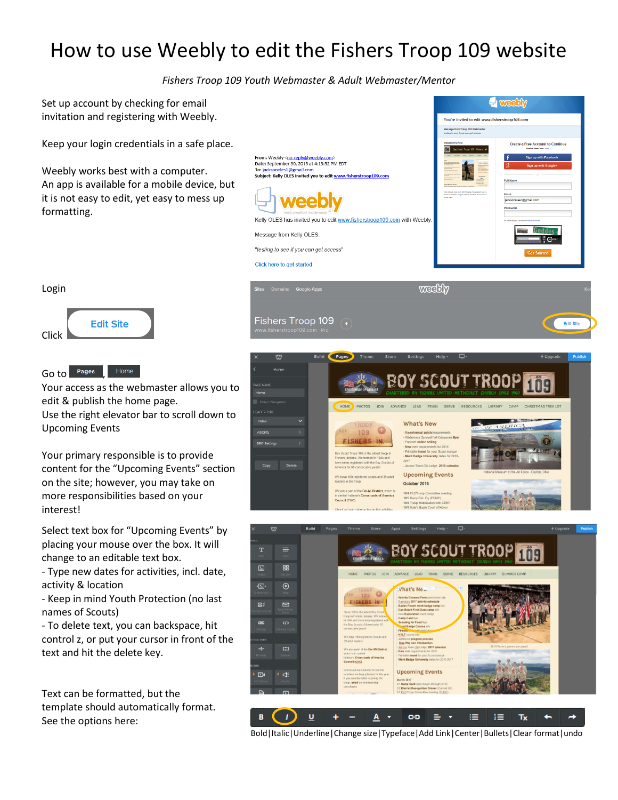## How to use Weebly to edit the Fishers Troop 109 website

*Fishers Troop 109 Youth Webmaster & Adult Webmaster/Mentor*

Fishers Troop 109  $\sqrt{4}$ 

Set up account by checking for email invitation and registering with Weebly.

Keep your login credentials in a safe place.

Weebly works best with a computer. An app is available for a mobile device, but it is not easy to edit, yet easy to mess up formatting.





Go to Pages Home

Your access as the webmaster allows you to edit & publish the home page. Use the right elevator bar to scroll down to Upcoming Events

Your primary responsible is to provide content for the "Upcoming Events" section on the site; however, you may take on more responsibilities based on your interest!

Select text box for "Upcoming Events" by placing your mouse over the box. It will change to an editable text box.

- Type new dates for activities, incl. date, activity & location

- Keep in mind Youth Protection (no last names of Scouts)

- To delete text, you can backspace, hit control z, or put your cursor in front of the text and hit the delete key.

Text can be formatted, but the template should automatically format. See the options here:





Bold|Italic|Underline|Change size|Typeface|Add Link|Center|Bullets|Clear format|undo